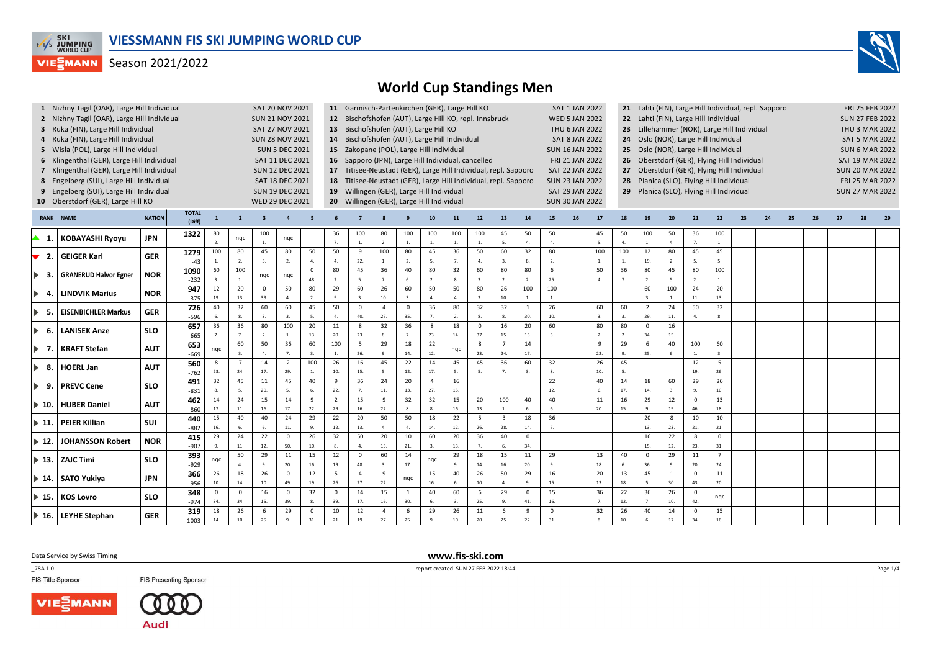



|                              | 1 Nizhny Tagil (OAR), Large Hill Individual |               |                        |                     |                                                                                                                                                                                  | SAT 20 NOV 2021         |                        |                     |                                                                                                                                                              |                         | 11 Garmisch-Partenkirchen (GER), Large Hill KO         |                     |                        |                         |                       |                         |                                          | SAT 1 JAN 2022<br>21 Lahti (FIN), Large Hill Individual, repl. Sapporo                                               |                        |                      |                                         |                                       |                        |                        |                        |      |                |    |  | FRI 25 FEB 2022 |                        |  |  |  |  |  |
|------------------------------|---------------------------------------------|---------------|------------------------|---------------------|----------------------------------------------------------------------------------------------------------------------------------------------------------------------------------|-------------------------|------------------------|---------------------|--------------------------------------------------------------------------------------------------------------------------------------------------------------|-------------------------|--------------------------------------------------------|---------------------|------------------------|-------------------------|-----------------------|-------------------------|------------------------------------------|----------------------------------------------------------------------------------------------------------------------|------------------------|----------------------|-----------------------------------------|---------------------------------------|------------------------|------------------------|------------------------|------|----------------|----|--|-----------------|------------------------|--|--|--|--|--|
|                              | 2 Nizhny Tagil (OAR), Large Hill Individual |               |                        |                     |                                                                                                                                                                                  | <b>SUN 21 NOV 2021</b>  |                        |                     |                                                                                                                                                              |                         | 12 Bischofshofen (AUT), Large Hill KO, repl. Innsbruck |                     |                        |                         |                       |                         |                                          | <b>WED 5 JAN 2022</b><br>22 Lahti (FIN), Large Hill Individual<br>Lillehammer (NOR), Large Hill Individual           |                        |                      |                                         |                                       |                        |                        |                        |      |                |    |  |                 | <b>SUN 27 FEB 2022</b> |  |  |  |  |  |
|                              | 3 Ruka (FIN), Large Hill Individual         |               |                        |                     |                                                                                                                                                                                  | SAT 27 NOV 2021         |                        |                     |                                                                                                                                                              |                         | 13 Bischofshofen (AUT), Large Hill KO                  |                     |                        |                         |                       |                         |                                          |                                                                                                                      | THU 6 JAN 2022         |                      | 23                                      |                                       |                        |                        |                        |      |                |    |  |                 | THU 3 MAR 2022         |  |  |  |  |  |
|                              | 4 Ruka (FIN), Large Hill Individual         |               |                        |                     |                                                                                                                                                                                  | <b>SUN 28 NOV 2021</b>  |                        |                     |                                                                                                                                                              |                         | 14 Bischofshofen (AUT), Large Hill Individual          |                     |                        |                         |                       |                         |                                          | <b>SAT 8 JAN 2022</b><br>Oslo (NOR), Large Hill Individual<br>24                                                     |                        |                      |                                         |                                       |                        |                        |                        |      |                |    |  |                 | <b>SAT 5 MAR 2022</b>  |  |  |  |  |  |
|                              | 5 Wisla (POL), Large Hill Individual        |               |                        |                     |                                                                                                                                                                                  |                         | <b>SUN 5 DEC 2021</b>  |                     |                                                                                                                                                              |                         | 15 Zakopane (POL), Large Hill Individual               |                     |                        |                         |                       |                         |                                          |                                                                                                                      | <b>SUN 16 JAN 2022</b> |                      | Oslo (NOR), Large Hill Individual<br>25 |                                       | <b>SUN 6 MAR 2022</b>  |                        |                        |      |                |    |  |                 |                        |  |  |  |  |  |
|                              | 6 Klingenthal (GER), Large Hill Individual  |               |                        |                     |                                                                                                                                                                                  |                         | SAT 11 DEC 2021        |                     |                                                                                                                                                              |                         | 16 Sapporo (JPN), Large Hill Individual, cancelled     |                     |                        |                         |                       |                         |                                          |                                                                                                                      | FRI 21 JAN 2022        |                      | 26                                      |                                       | <b>SAT 19 MAR 2022</b> |                        |                        |      |                |    |  |                 |                        |  |  |  |  |  |
|                              | 7 Klingenthal (GER), Large Hill Individual  |               |                        |                     |                                                                                                                                                                                  |                         | <b>SUN 12 DEC 2021</b> |                     |                                                                                                                                                              |                         |                                                        |                     |                        |                         |                       |                         |                                          | Oberstdorf (GER), Flying Hill Individual<br><b>SAT 22 JAN 2022</b><br>Oberstdorf (GER), Flying Hill Individual<br>27 |                        |                      |                                         |                                       |                        |                        |                        |      |                |    |  |                 | <b>SUN 20 MAR 2022</b> |  |  |  |  |  |
|                              |                                             |               |                        |                     |                                                                                                                                                                                  |                         |                        |                     | 17 Titisee-Neustadt (GER), Large Hill Individual, repl. Sapporo<br>18 Titisee-Neustadt (GER), Large Hill Individual, repl. Sapporo<br><b>SUN 23 JAN 2022</b> |                         |                                                        |                     |                        |                         |                       |                         |                                          |                                                                                                                      |                        |                      |                                         | Planica (SLO), Flying Hill Individual |                        |                        |                        |      |                |    |  |                 |                        |  |  |  |  |  |
|                              | 8 Engelberg (SUI), Large Hill Individual    |               |                        |                     |                                                                                                                                                                                  |                         | SAT 18 DEC 2021        |                     |                                                                                                                                                              |                         |                                                        |                     |                        |                         |                       |                         |                                          |                                                                                                                      |                        |                      |                                         |                                       |                        | <b>FRI 25 MAR 2022</b> |                        |      |                |    |  |                 |                        |  |  |  |  |  |
|                              | 9 Engelberg (SUI), Large Hill Individual    |               |                        |                     | 19 Willingen (GER), Large Hill Individual<br><b>SUN 19 DEC 2021</b><br>SAT 29 JAN 2022<br>20 Willingen (GER), Large Hill Individual<br>WED 29 DEC 2021<br><b>SUN 30 JAN 2022</b> |                         |                        |                     |                                                                                                                                                              |                         |                                                        |                     |                        |                         |                       |                         | 29 Planica (SLO), Flying Hill Individual |                                                                                                                      |                        |                      |                                         |                                       |                        |                        | <b>SUN 27 MAR 2022</b> |      |                |    |  |                 |                        |  |  |  |  |  |
|                              | 10 Oberstdorf (GER), Large Hill KO          |               |                        |                     |                                                                                                                                                                                  |                         |                        |                     |                                                                                                                                                              |                         |                                                        |                     |                        |                         |                       |                         |                                          |                                                                                                                      |                        |                      |                                         |                                       |                        |                        |                        |      |                |    |  |                 |                        |  |  |  |  |  |
|                              | <b>RANK NAME</b>                            | <b>NATION</b> | <b>TOTAL</b><br>(Diff) | $\mathbf{1}$        | $\overline{2}$                                                                                                                                                                   | $\overline{\mathbf{3}}$ |                        |                     |                                                                                                                                                              |                         |                                                        |                     | 10                     | 11                      | 12                    | 13                      | 14                                       | 15 <sub>1</sub>                                                                                                      | 16                     | 17                   | 18                                      | 19                                    | 20                     | -21                    | 22                     | - 23 | 2 <sub>a</sub> | 25 |  | 27              |                        |  |  |  |  |  |
| ▲ 1.                         | <b>KOBAYASHI Ryoyu</b>                      | <b>JPN</b>    | 1322                   | 80<br>$\mathcal{L}$ | nqc                                                                                                                                                                              | 100<br>1.               | nqc                    |                     | 36<br>7.                                                                                                                                                     | 100<br>$\overline{1}$ . | 80<br>$\overline{2}$ .                                 | 100<br>$\mathbf{1}$ | 100<br>1.              | 100<br>$\overline{1}$ . | 100<br>$\overline{1}$ | 45<br>$\overline{5}$    | 50<br>$\overline{4}$                     | 50<br>4.                                                                                                             |                        | 45<br>5.             | 50<br>$\overline{4}$ .                  | 100<br>1.                             | 50<br>4.               | 36<br>7.               | 100<br>$\mathbf{1}$ .  |      |                |    |  |                 |                        |  |  |  |  |  |
| 2.                           | <b>GEIGER Karl</b>                          | <b>GER</b>    | 1279                   | 100                 | 80                                                                                                                                                                               | 45                      | 80                     | 50                  | 50                                                                                                                                                           | 9                       | 100                                                    | 80                  | 45                     | 36                      | 50                    | 60                      | 32                                       | 80                                                                                                                   |                        | 100                  | 100                                     | 12                                    | 80                     | 45                     | 45                     |      |                |    |  |                 |                        |  |  |  |  |  |
|                              |                                             |               | $-43$                  |                     | $\overline{2}$                                                                                                                                                                   |                         | 2.                     | $\mathbf{A}$        | $\overline{4}$                                                                                                                                               | 22.                     |                                                        | 2.                  | 5.                     | 7.                      | $\Delta$              |                         |                                          | $\overline{2}$                                                                                                       |                        |                      |                                         | 19.                                   | 2.                     | 5.                     | $\mathbf{S}$           |      |                |    |  |                 |                        |  |  |  |  |  |
| - 3.<br>▶                    | <b>GRANERUD Halvor Egner</b>                | <b>NOR</b>    | 1090                   | 60                  | 100                                                                                                                                                                              | nqc                     | ngc                    | $\mathsf{O}\xspace$ | 80                                                                                                                                                           | 45                      | 36                                                     | 40                  | 80                     | 32                      | 60                    | 80                      | 80                                       | 6                                                                                                                    |                        | 50                   | 36                                      | 80                                    | 45                     | 80                     | 100                    |      |                |    |  |                 |                        |  |  |  |  |  |
|                              |                                             |               | $-232$                 |                     |                                                                                                                                                                                  |                         |                        | 48.                 | $\overline{2}$ .                                                                                                                                             | -5.                     | $\overline{7}$                                         |                     | $\overline{2}$         |                         |                       | $\overline{2}$          | $\overline{z}$                           | 25.                                                                                                                  |                        |                      |                                         | 2.                                    | 5.                     | $\overline{2}$ .       | $\mathbf{1}$           |      |                |    |  |                 |                        |  |  |  |  |  |
| $\blacktriangleright$<br>-4. | <b>LINDVIK Marius</b>                       | <b>NOR</b>    | 947                    | 12                  | 20                                                                                                                                                                               | $\mathsf 0$             | 50                     | 80                  | 29                                                                                                                                                           | 60                      | 26                                                     | 60                  | 50                     | 50                      | 80                    | 26                      | 100                                      | 100                                                                                                                  |                        |                      |                                         | 60                                    | 100                    | 24                     | 20                     |      |                |    |  |                 |                        |  |  |  |  |  |
|                              |                                             |               | $-375$                 | 19.                 | 13.                                                                                                                                                                              | 39.                     | 4.                     | 2.                  | 9.                                                                                                                                                           |                         | 10.                                                    |                     | $\mathbf{A}$           | $\mathbf{A}$            | $\overline{2}$        | 10.                     | $\overline{1}$                           | $\overline{1}$                                                                                                       |                        |                      |                                         |                                       | $\mathbf{1}$           | $11.$                  | 13.                    |      |                |    |  |                 |                        |  |  |  |  |  |
| $\blacktriangleright$<br>-5. | <b>EISENBICHLER Markus</b>                  | <b>GER</b>    | 726<br>$-596$          | 40                  | 32<br>8.                                                                                                                                                                         | 60<br>3.                | 60<br>3.               | 45<br>5.            | 50<br>$\mathbf{A}$                                                                                                                                           | $\overline{0}$<br>40.   | $\overline{a}$<br>27.                                  | $\Omega$<br>35.     | 36<br>$\overline{7}$ . | 80<br>$\overline{2}$ .  | 32<br>$\mathbf{R}$    | 32<br>8.                | $\mathbf{1}$<br>30.                      | 26<br>10.                                                                                                            |                        | 60<br>3.             | 60<br>3.                                | $\overline{2}$<br>29.                 | 24<br>$11.$            | 50<br>$\overline{a}$   | 32<br>8.               |      |                |    |  |                 |                        |  |  |  |  |  |
| -6.                          | <b>LANISEK Anze</b>                         | <b>SLO</b>    | 657<br>$-665$          | 36                  | 36                                                                                                                                                                               | 80<br>2.                | 100<br>$\overline{1}$  | 20<br>13.           | 11<br>20.                                                                                                                                                    | 8<br>23.                | 32                                                     | 36                  | 8<br>23.               | 18<br>14.               | $\mathbf{0}$<br>37.   | 16<br>15.               | 20<br>13.                                | 60                                                                                                                   |                        | 80<br>$\mathfrak{D}$ | 80<br>2.                                | $\mathbf 0$<br>34.                    | 16<br>15.              |                        |                        |      |                |    |  |                 |                        |  |  |  |  |  |
|                              |                                             |               | 653                    |                     | 60                                                                                                                                                                               | 50                      | 36                     | 60                  | 100                                                                                                                                                          | 5                       | 29                                                     | 18                  | 22                     |                         | 8                     | $\overline{7}$          | 14                                       |                                                                                                                      |                        | 9                    | 29                                      | 6                                     | 40                     | 100                    | 60                     |      |                |    |  |                 |                        |  |  |  |  |  |
| Þ.<br>- 7.                   | <b>KRAFT Stefan</b>                         | <b>AUT</b>    | $-669$                 | ngc                 |                                                                                                                                                                                  | $\mathbf{A}$            | 7.                     |                     | 1.                                                                                                                                                           | 26.                     |                                                        | 14.                 | 12.                    | ngc                     | 23.                   | 24.                     | 17.                                      |                                                                                                                      |                        | 22.                  | 9.                                      | 25.                                   |                        | $\mathbf{1}$           | $\mathbf{3}$           |      |                |    |  |                 |                        |  |  |  |  |  |
| $\blacktriangleright$        |                                             |               | 560                    | $\mathbf{8}$        |                                                                                                                                                                                  | 14                      | 2                      | 100                 | 26                                                                                                                                                           | 16                      | 45                                                     | 22                  | 14                     | 45                      | 45                    | 36                      | 60                                       | 32                                                                                                                   |                        | 26                   | 45                                      |                                       |                        | 12                     | 5                      |      |                |    |  |                 |                        |  |  |  |  |  |
| -8.                          | <b>HOERL Jan</b>                            | <b>AUT</b>    | $-762$                 | 23.                 | 24.                                                                                                                                                                              | 17.                     | 29.                    |                     | 10.                                                                                                                                                          | 15.                     | 5.                                                     | $12.$               | 17.                    | 5.                      |                       | $\overline{7}$          | $\overline{3}$                           | 8.                                                                                                                   |                        | 10.                  | 5.                                      |                                       |                        | 19.                    | 26.                    |      |                |    |  |                 |                        |  |  |  |  |  |
| 9.                           | <b>PREVC Cene</b>                           | <b>SLO</b>    | 491                    | 32                  | 45                                                                                                                                                                               | 11                      | 45                     | 40                  | 9                                                                                                                                                            | 36                      | 24                                                     | 20                  | $\overline{4}$         | 16                      |                       |                         |                                          | 22                                                                                                                   |                        | 40                   | 14                                      | 18                                    | 60                     | 29                     | 26                     |      |                |    |  |                 |                        |  |  |  |  |  |
|                              |                                             |               | $-831$                 | 8.                  |                                                                                                                                                                                  | 20.                     | 5.                     | 6.                  | 22.                                                                                                                                                          | $\overline{7}$          | 11.                                                    | 13.                 | 27.                    | 15.                     |                       |                         |                                          | 12.                                                                                                                  |                        | 6.                   | 17.                                     | 14.                                   | $\overline{3}$ .       | 9.                     | 10.                    |      |                |    |  |                 |                        |  |  |  |  |  |
| $\blacktriangleright$ 10.    | <b>HUBER Daniel</b>                         | <b>AUT</b>    | 462                    | 14                  | 24                                                                                                                                                                               | 15                      | 14                     | 9                   | $\overline{2}$                                                                                                                                               | 15                      | 9                                                      | 32                  | 32                     | 15                      | 20                    | 100                     | 40                                       | 40                                                                                                                   |                        | $11\,$               | 16                                      | 29                                    | 12                     | $\mathbf 0$            | 13                     |      |                |    |  |                 |                        |  |  |  |  |  |
|                              |                                             |               | $-860$                 | 17.                 | 11.                                                                                                                                                                              | 16.                     | 17.                    | 22.                 | 29.                                                                                                                                                          | 16.                     | 22.                                                    |                     |                        | 16                      | 13.                   | $\mathbf{1}$            |                                          |                                                                                                                      |                        | 20.                  | 15.                                     | 9.                                    | 19.                    | 46.                    | 18.                    |      |                |    |  |                 |                        |  |  |  |  |  |
| $\blacktriangleright$ 11.    | <b>PEIER Killian</b>                        | <b>SUI</b>    | 440                    | 15                  | 40                                                                                                                                                                               | 40                      | 24                     | 29                  | 22                                                                                                                                                           | 20                      | 50                                                     | 50                  | 18                     | 22                      | 5                     | $\overline{\mathbf{3}}$ | 18                                       | 36                                                                                                                   |                        |                      |                                         | 20                                    | 8                      | 10                     | 10                     |      |                |    |  |                 |                        |  |  |  |  |  |
|                              |                                             |               | $-882$                 | 16.                 | 6.<br>24                                                                                                                                                                         | 6.<br>22                | 11.<br>$\Omega$        | 9.<br>26            | 12.<br>32                                                                                                                                                    | 13.<br>50               | 4.                                                     | $\mathbf{A}$        | 14.<br>60              | 12.                     | 26.                   | 28.<br>40               | 14.                                      | $\overline{7}$                                                                                                       |                        |                      |                                         | 13.                                   | 23.<br>22              | 21.<br>$\mathbf{8}$    | 21.<br>$\mathbf{0}$    |      |                |    |  |                 |                        |  |  |  |  |  |
| ▶ 12.                        | <b>JOHANSSON Robert</b>                     | <b>NOR</b>    | 415<br>$-907$          | 29                  | 11.                                                                                                                                                                              | 12.                     | 50.                    | 10.                 | 8.                                                                                                                                                           | $\mathbf{4}$            | 20<br>13.                                              | 10<br>21.           |                        | 20<br>13.               | 36<br>$\overline{7}$  | 6.                      | $\mathbf 0$<br>34.                       |                                                                                                                      |                        |                      |                                         | 16<br>15.                             | 12.                    | 23.                    | 31.                    |      |                |    |  |                 |                        |  |  |  |  |  |
|                              |                                             |               | 393                    |                     | 50                                                                                                                                                                               | 29                      | 11                     | 15                  | 12                                                                                                                                                           | $\mathsf 0$             | 60                                                     | 14                  |                        | 29                      | 18                    | 15                      | 11                                       | 29                                                                                                                   |                        | 13                   | 40                                      | $\mathbf 0$                           | 29                     | 11                     | $\overline{7}$         |      |                |    |  |                 |                        |  |  |  |  |  |
|                              | ▶ 13.   ZAJC Timi                           | <b>SLO</b>    | $-929$                 | ngc                 |                                                                                                                                                                                  |                         | 20.                    | 16.                 | 19.                                                                                                                                                          | 48                      |                                                        | 17.                 | ngc                    |                         | 14.                   | 16.                     | 20.                                      |                                                                                                                      |                        | 18.                  | 6.                                      | 36.                                   | $\mathbf{q}$           | 20.                    | 24.                    |      |                |    |  |                 |                        |  |  |  |  |  |
|                              |                                             |               | 366                    | 26                  | 18                                                                                                                                                                               | 26                      | $\mathbf{0}$           | 12                  | $\overline{5}$                                                                                                                                               | $\overline{4}$          | 9                                                      |                     | 15                     | 40                      | 26                    | 50                      | 29                                       | 16                                                                                                                   |                        | 20                   | 13                                      | 45                                    | $\mathbf{1}$           | $\mathsf 0$            | 11                     |      |                |    |  |                 |                        |  |  |  |  |  |
| $\blacktriangleright$ 14.    | <b>SATO Yukiya</b>                          | <b>JPN</b>    | $-956$                 | 10.                 | 14.                                                                                                                                                                              | 10.                     | 49.                    | 19.                 | 26.                                                                                                                                                          | 27.                     | 22.                                                    | ngc                 | 16.                    | 6.                      | 10.                   | $\overline{a}$          |                                          | 15.                                                                                                                  |                        | 13.                  | 18.                                     | 5.                                    | 30.                    | 43.                    | 20.                    |      |                |    |  |                 |                        |  |  |  |  |  |
|                              |                                             |               | 348                    | $\mathbf 0$         | $\Omega$                                                                                                                                                                         | 16                      | $\mathbf 0$            | 32                  | $\mathbf 0$                                                                                                                                                  | 14                      | 15                                                     | $\mathbf{1}$        | 40                     | 60                      | 6                     | 29                      | $\mathbf 0$                              | 15                                                                                                                   |                        | 36                   | 22                                      | 36                                    | 26                     | $\mathbf{0}$           |                        |      |                |    |  |                 |                        |  |  |  |  |  |
| $\triangleright$ 15.         | <b>KOS Lovro</b>                            | <b>SLO</b>    | $-974$                 | 34.                 | 34.                                                                                                                                                                              | 15.                     | 39.                    | 8.                  | 39.                                                                                                                                                          | 17.                     | 16.                                                    | 30.                 | 6.                     | $\overline{3}$ .        | 25.                   | 9.                      | 41.                                      | 16.                                                                                                                  |                        |                      | 12.                                     | 7.                                    | 10.                    | 42.                    | nqc                    |      |                |    |  |                 |                        |  |  |  |  |  |
|                              |                                             |               | 319                    | 18                  | 26                                                                                                                                                                               | 6                       | 29                     | $\circ$             | 10                                                                                                                                                           | 12                      | $\overline{4}$                                         | 6                   | 29                     | 26                      | 11                    | 6                       | 9                                        | $\mathbf 0$                                                                                                          |                        | 32                   | 26                                      | 40                                    | 14                     | $\overline{0}$         | 15                     |      |                |    |  |                 |                        |  |  |  |  |  |
|                              | $\blacktriangleright$ 16. LEYHE Stephan     | <b>GER</b>    | $-1003$                | 14.                 | 10.                                                                                                                                                                              | 25.                     |                        | 31.                 | 21.                                                                                                                                                          | 19.                     | 27.                                                    | 25.                 |                        | 10                      | 20.                   | 25.                     | 22.                                      | 31.                                                                                                                  |                        |                      | 10.                                     |                                       | 17.                    | 34.                    | 16.                    |      |                |    |  |                 |                        |  |  |  |  |  |

Data Service by Swiss Timing

\_78A 1.0

FIS Title Sponsor





**FIS Presenting Sponsor** 

 **www.fis-ski.com**report created SUN 27 FEB 2022 18:44

Page 1/4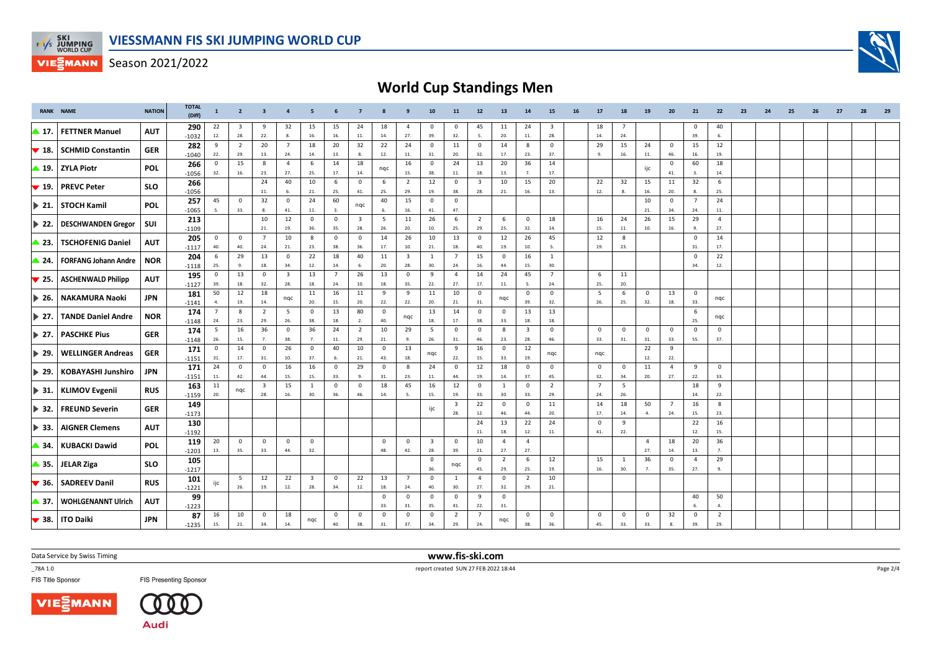

# **World Cup Standings Men**

|                           | <b>RANK NAME</b>            | <b>NATION</b> | TOTAL<br>(Diff) | 1                     | $\overline{2}$      | $\overline{\mathbf{3}}$ |                         | -5                             |                    |                                |                                | 9                              | 10                             | 11                             | 12                             | 13                    | 14                      | 15                  | 16 | 17                 | 18                 | 19                    | 20                    | 21                 | 22                      | 23 | 24 | 25 | 26 | 27 | 28 | 29 |
|---------------------------|-----------------------------|---------------|-----------------|-----------------------|---------------------|-------------------------|-------------------------|--------------------------------|--------------------|--------------------------------|--------------------------------|--------------------------------|--------------------------------|--------------------------------|--------------------------------|-----------------------|-------------------------|---------------------|----|--------------------|--------------------|-----------------------|-----------------------|--------------------|-------------------------|----|----|----|----|----|----|----|
| ▶ 17.                     | <b>FETTNER Manuel</b>       | <b>AUT</b>    | 290<br>$-1032$  | 22<br>12.             | 3<br>28.            | -9<br>$22.$             | 32<br>8.                | 15<br>16.                      | 15<br>16.          | 24<br>11.                      | 18<br>14.                      | $\overline{4}$<br>27.          | $\mathbf 0$<br>39.             | $^{\circ}$<br>32.              | 45<br>5.                       | 11<br>20.             | 24<br>11.               | -3<br>28.           |    | 18<br>14.          | 24.                |                       |                       | 0<br>39.           | 40<br>6.                |    |    |    |    |    |    |    |
| $\blacktriangledown$ 18.  | <b>SCHMID Constantin</b>    | <b>GER</b>    | 282             | 9                     | $\overline{2}$      | 20                      | $\overline{7}$          | 18                             | 20                 | 32                             | 22                             | 24                             | $\mathbf 0$                    | 11                             | $\mathbf 0$                    | 14                    | 8                       | $^{\circ}$          |    | 29                 | 15                 | 24                    | $\mathsf 0$           | 15                 | 12                      |    |    |    |    |    |    |    |
|                           |                             |               | $-1040$<br>266  | 22.<br>$\mathbf 0$    | 29.<br>15           | 13.<br>8                | 24.<br>$\overline{4}$   | 14.<br>6                       | 13.<br>14          | 8.<br>18                       | 12.                            | 11.<br>16                      | 31.<br>$\mathbf 0$             | 20.<br>24                      | 32.<br>13                      | 17.<br>20             | 23.<br>36               | 37.<br>14           |    | -9.                | 16.                | $11.$                 | 46.<br>$\mathbf 0$    | 16.<br>60          | 19.<br>18               |    |    |    |    |    |    |    |
| ▲ 19.                     | <b>ZYLA Piotr</b>           | <b>POL</b>    | $-1056$         | 32.                   | 16.                 | 23.                     | 27.                     | 25.                            | 17.                | 14.                            | ngc                            | 15.                            | 38.                            | 11.                            | 18.                            | 13.                   | 7.                      | 17.                 |    |                    |                    | ijc                   | 41.                   | 3.                 | 14.                     |    |    |    |    |    |    |    |
| $\blacktriangledown$ 19.  | <b>PREVC Peter</b>          | <b>SLO</b>    | 266             |                       |                     | 24<br>$11.$             | 40<br>6.                | 10<br>21.                      | 6<br>25.           | $\mathbf 0$<br>41.             | 6<br>25.                       | $\overline{2}$<br>29.          | 12<br>19.                      | $\mathbf 0$<br>38.             | $\overline{\mathbf{3}}$<br>28. | 10<br>21.             | 15<br>16.               | 20<br>13.           |    | 22<br>12.          | 32<br>8.           | 15<br>16.             | 11<br>20.             | 32<br>8.           | 6<br>25.                |    |    |    |    |    |    |    |
| $\blacktriangleright$ 21. | <b>STOCH Kamil</b>          | <b>POL</b>    | $-1056$<br>257  | 45                    | $\mathbf 0$         | 32                      | $\mathbf 0$             | 24                             | 60                 |                                | 40                             | 15                             | $\mathbf 0$                    | $\mathbf 0$                    |                                |                       |                         |                     |    |                    |                    | 10                    | $\mathsf 0$           | $\overline{7}$     | 24                      |    |    |    |    |    |    |    |
|                           |                             |               | $-1065$         |                       | 33.                 | 8.                      | 41.                     | $11. \,$                       | 3.                 | nqc                            | 6.                             | 16.                            | 41.                            | 47.                            |                                |                       |                         |                     |    |                    |                    | 21.                   | 34.                   | 24.                | $11.$                   |    |    |    |    |    |    |    |
| ▶ 22.                     | <b>DESCHWANDEN Gregor</b>   | SUI           | 213<br>$-1109$  |                       |                     | 10<br>21.               | 12<br>19.               | $\mathbf{0}$<br>36.            | $\mathbf 0$<br>35. | $\overline{\mathbf{3}}$<br>28. | 5<br>26.                       | 11<br>20.                      | 26<br>10.                      | - 6<br>25.                     | 2<br>29.                       | 6<br>25.              | $\overline{0}$<br>32.   | 18<br>14.           |    | 16<br>15.          | 24<br>11.          | 26<br>10.             | 15<br>16.             | 29<br>9.           | $\overline{4}$<br>27.   |    |    |    |    |    |    |    |
| <b>23.</b>                | <b>TSCHOFENIG Daniel</b>    | <b>AUT</b>    | 205             | $\mathbf 0$           | $\mathbf 0$         | $7\overline{ }$         | 10                      | 8                              | $\mathbf 0$        | $\mathbf 0$                    | 14                             | 26                             | 10                             | 13                             | $\mathbf 0$                    | 12                    | 26                      | 45                  |    | 12                 | 8                  |                       |                       | $\mathbf 0$        | 14                      |    |    |    |    |    |    |    |
|                           |                             |               | $-1117$         | 40.                   | 40.                 | 24.                     | 21.                     | 23.                            | 38.                | 36.                            | 17.                            | 10.                            | 21.                            | 18.                            | 40.                            | 19.                   | 10.                     |                     |    | 19.                | 23.                |                       |                       | 31.                | 17.                     |    |    |    |    |    |    |    |
| $\blacktriangleright$ 24. | <b>FORFANG Johann Andre</b> | <b>NOR</b>    | 204<br>$-1118$  | 6<br>25.              | 29<br>9.            | 13<br>18.               | $\mathbf 0$<br>34.      | 22<br>12.                      | 18<br>14.          | 40<br>6.                       | 11<br>20.                      | $\overline{\mathbf{3}}$<br>28. | 1<br>30.                       | $\overline{7}$<br>24.          | 15<br>16.                      | $\mathsf 0$<br>44.    | 16<br>15.               | <sup>1</sup><br>30. |    |                    |                    |                       |                       | $\mathbf 0$<br>34. | 22<br>12.               |    |    |    |    |    |    |    |
| $\blacktriangledown$ 25.  | <b>ASCHENWALD Philipp</b>   | <b>AUT</b>    | 195             | $\mathbf 0$           | 13                  | $\mathbf 0$             | $\overline{\mathbf{3}}$ | 13                             | $\overline{7}$     | 26                             | 13                             | $\overline{0}$                 | 9                              | $\overline{a}$                 | 14                             | 24                    | 45                      | $\overline{7}$      |    | 6                  | 11                 |                       |                       |                    |                         |    |    |    |    |    |    |    |
|                           |                             |               | $-1127$<br>181  | 39.<br>50             | 18.<br>12           | 32.<br>18               | 28.                     | 18.<br>11                      | 24.<br>16          | 10.<br>11                      | 18.<br>9                       | 35.<br>9                       | 22.<br>11                      | 27.<br>10                      | 17.<br>$\mathbf 0$             | 11.                   | 5.<br>$\mathbf 0$       | 24.<br>$^{\circ}$   |    | 25.<br>5           | 20.<br>6           | $\mathbf{0}$          | 13                    | $\mathbf 0$        |                         |    |    |    |    |    |    |    |
| $\blacktriangleright$ 26. | <b>NAKAMURA Naoki</b>       | <b>JPN</b>    | $-1141$         | $\mathbf{A}$          | 19.                 | 14.                     | nqc                     | 20.                            | 15.                | 20.                            | 22.                            | 22.                            | 20.                            | 21.                            | 31.                            | nqc                   | 39.                     | 32.                 |    | 26.                | 25.                | 32.                   | 18.                   | 33.                | ngc                     |    |    |    |    |    |    |    |
| $\blacktriangleright$ 27. | <b>TANDE Daniel Andre</b>   | <b>NOR</b>    | 174<br>$-1148$  | $\overline{7}$<br>24. | 8<br>23.            | $\overline{2}$<br>29.   | 5<br>26.                | $\overline{0}$<br>38.          | 13<br>18.          | 80<br>2.                       | $\overline{\mathbf{0}}$<br>40. | nqc                            | 13<br>18.                      | 14<br>17.                      | $\mathbf 0$<br>38.             | $^{\circ}$<br>33.     | 13<br>18.               | 13<br>18.           |    |                    |                    |                       |                       | 6<br>25.           | nqc                     |    |    |    |    |    |    |    |
| $\blacktriangleright$ 27. | <b>PASCHKE Pius</b>         | <b>GER</b>    | 174             | 5                     | 16                  | 36                      | $\mathbf 0$             | 36                             | 24                 | $\overline{2}$                 | 10                             | 29                             | 5                              | $\mathbf 0$                    | $\mathsf 0$                    | 8                     | $\overline{\mathbf{3}}$ | $\mathbf 0$         |    | $\mathbf 0$        | $\mathbf 0$        | $\mathbf 0$           | $\mathsf 0$           | $\mathbf 0$        | $\mathbf 0$             |    |    |    |    |    |    |    |
|                           |                             |               | $-1148$<br>171  | 26.<br>$\mathbf 0$    | 15.<br>14           | 7.<br>$\mathbf 0$       | 38.<br>26               | 7.<br>$\mathbf 0$              | 11.<br>40          | 29.<br>10                      | 21.<br>$\mathbf 0$             | 9.<br>13                       | 26.                            | 31.<br>9                       | 46.<br>16                      | 23.<br>$\overline{0}$ | 28.<br>12               | 46.                 |    | 33.                | 31.                | 31.<br>22             | 33.<br>9              | 55.                | 37.                     |    |    |    |    |    |    |    |
| $\blacktriangleright$ 29. | <b>WELLINGER Andreas</b>    | <b>GER</b>    | $-1151$         | 31.                   | 17.                 | 31.                     | 10.                     | 37.                            | 6.                 | 21.                            | 43.                            | 18.                            | nqc                            | 22.                            | 15.                            | 33.                   | 19.                     | nqc                 |    | nqc                |                    | 12.                   | 22.                   |                    |                         |    |    |    |    |    |    |    |
| $\blacktriangleright$ 29. | <b>KOBAYASHI Junshiro</b>   | <b>JPN</b>    | 171             | 24<br>11.             | $\mathbf 0$<br>42.  | $\circ$<br>44.          | 16<br>15.               | 16<br>15.                      | $\mathbf 0$<br>33. | 29<br>$\mathbf{q}$             | $\overline{\mathbf{0}}$<br>31. | 8<br>23.                       | 24<br>11.                      | $\mathbf 0$<br>44.             | 12<br>19.                      | 18<br>14.             | $\mathbf{0}$<br>37.     | $\mathbf 0$<br>45.  |    | $\mathbf 0$<br>32. | $\mathbf 0$<br>34. | 11<br>20.             | $\overline{4}$<br>27. | 9<br>22.           | $\mathbf 0$<br>33.      |    |    |    |    |    |    |    |
|                           |                             |               | $-1151$<br>163  | 11                    |                     | $\overline{\mathbf{3}}$ | 15                      | <sup>1</sup>                   | $\mathbf 0$        | $\mathbf 0$                    | 18                             | 45                             | 16                             | 12                             | $\mathbf 0$                    | $\mathbf{1}$          | $\mathbf 0$             | $\overline{2}$      |    | $\overline{7}$     | 5                  |                       |                       | 18                 | 9                       |    |    |    |    |    |    |    |
| $\blacktriangleright$ 31. | <b>KLIMOV Evgenii</b>       | <b>RUS</b>    | $-1159$         | 20.                   | nqc                 | 28.                     | 16.                     | 30.                            | 36.                | 46.                            | 14.                            |                                | 15.                            | 19.                            | 33.                            | 30.                   | 33.                     | 29.                 |    | 24.                | 26.                |                       |                       | 14.                | 22.                     |    |    |    |    |    |    |    |
| $\blacktriangleright$ 32. | <b>FREUND Severin</b>       | <b>GER</b>    | 149<br>$-1173$  |                       |                     |                         |                         |                                |                    |                                |                                |                                | ijc                            | $\overline{\mathbf{3}}$<br>28. | 22<br>12.                      | $\mathbf{0}$<br>46.   | $\mathsf 0$<br>44.      | 11<br>20.           |    | 14<br>17.          | 18<br>14.          | 50<br>$\mathbf{A}$    | $\overline{7}$<br>24. | 16<br>15.          | $\boldsymbol{8}$<br>23. |    |    |    |    |    |    |    |
|                           |                             |               | 130             |                       |                     |                         |                         |                                |                    |                                |                                |                                |                                |                                | 24                             | 13                    | 22                      | 24                  |    | $\mathbf 0$        | 9                  |                       |                       | 22                 | 16                      |    |    |    |    |    |    |    |
| $\blacktriangleright$ 33. | <b>AIGNER Clemens</b>       | <b>AUT</b>    | $-1192$         |                       |                     |                         |                         |                                |                    |                                |                                |                                |                                |                                | 11.                            | 18.                   | 12.                     | 11.                 |    | 41.                | 22.                |                       |                       | 12.                | 15.                     |    |    |    |    |    |    |    |
| ▶ 34.                     | <b>KUBACKI Dawid</b>        | <b>POL</b>    | 119<br>$-1203$  | 20<br>13.             | $\mathbf{0}$<br>35. | $\mathbf 0$<br>33.      | $\mathbf{0}$<br>44.     | $\mathbf{0}$<br>32.            |                    |                                | $\overline{0}$<br>48.          | $\overline{0}$<br>42.          | $\overline{\mathbf{3}}$<br>28. | $\mathbf{0}$<br>39.            | 10<br>21.                      | $\overline{4}$<br>27. | $\overline{4}$<br>27.   |                     |    |                    |                    | $\overline{4}$<br>27. | 18<br>14.             | 20<br>13.          | 36<br>7.                |    |    |    |    |    |    |    |
|                           |                             |               | 105             |                       |                     |                         |                         |                                |                    |                                |                                |                                | $\mathbf 0$                    |                                | $\mathbf 0$                    | $\overline{2}$        | 6                       | 12                  |    | 15                 | 1                  | 36                    | $\mathsf 0$           | $\overline{4}$     | 29                      |    |    |    |    |    |    |    |
| $\blacktriangle$ 35.      | <b>JELAR Ziga</b>           | <b>SLO</b>    | $-1217$         |                       |                     |                         |                         |                                |                    |                                |                                |                                | 36.                            | nqc                            | 45.                            | 29.                   | 25.                     | 19.                 |    | 16.                | 30.                | $\overline{7}$        | 35.                   | 27.                | 9.                      |    |    |    |    |    |    |    |
| $\blacktriangledown$ 36.  | <b>SADREEV Danil</b>        | <b>RUS</b>    | 101<br>$-1221$  | ijc                   | 5<br>26.            | 12<br>19.               | 22<br>12.               | $\overline{\mathbf{3}}$<br>28. | $\mathbf 0$<br>34. | 22<br>12.                      | 13<br>18.                      | $\overline{7}$<br>24.          | $\mathbf 0$<br>40.             | 1<br>30.                       | $\overline{4}$<br>27.          | $\mathsf 0$<br>32.    | $\overline{2}$<br>29.   | 10<br>21.           |    |                    |                    |                       |                       |                    |                         |    |    |    |    |    |    |    |
| ▶ 37.                     | <b>WOHLGENANNT Ulrich</b>   | <b>AUT</b>    | 99              |                       |                     |                         |                         |                                |                    |                                | $\mathbf 0$<br>33.             | $\mathbf{0}$<br>31.            | $\mathbf{0}$<br>35.            | $\overline{0}$<br>41.          | 9<br>$22.$                     | $\overline{0}$<br>31. |                         |                     |    |                    |                    |                       |                       | 40<br>6.           | 50<br>4.                |    |    |    |    |    |    |    |
| $\blacktriangledown$ 38.  | <b>ITO Daiki</b>            | <b>JPN</b>    | $-1223$<br>87   | 16                    | 10                  | $\mathbf 0$             | 18                      | nqc                            | $\mathbf 0$        | $\mathbf 0$                    | $\mathbf 0$                    | $\mathbf 0$                    | $\mathbf 0$                    | $\overline{2}$                 | $\overline{7}$                 | nqc                   | $\mathbf 0$             | $\mathbf 0$         |    | $\mathbf 0$        | $\mathbf 0$        | $\mathbf 0$           | 32                    | $\mathbf 0$        | $\overline{2}$          |    |    |    |    |    |    |    |
|                           |                             |               | $-1235$         | 15.                   | 21.                 | 34.                     | 14.                     |                                | 40.                | 38.                            | 31.                            | 37.                            | 34.                            | 29.                            | 24.                            |                       | 38.                     | 36.                 |    | 45.                | 33.                | 33.                   | 8.                    | 39.                | 29.                     |    |    |    |    |    |    |    |

Data Service by Swiss Timing

\_78A 1.0

FIS Title Sponsor





**FIS Presenting Sponsor** 

 **www.fis-ski.com**report created SUN 27 FEB 2022 18:44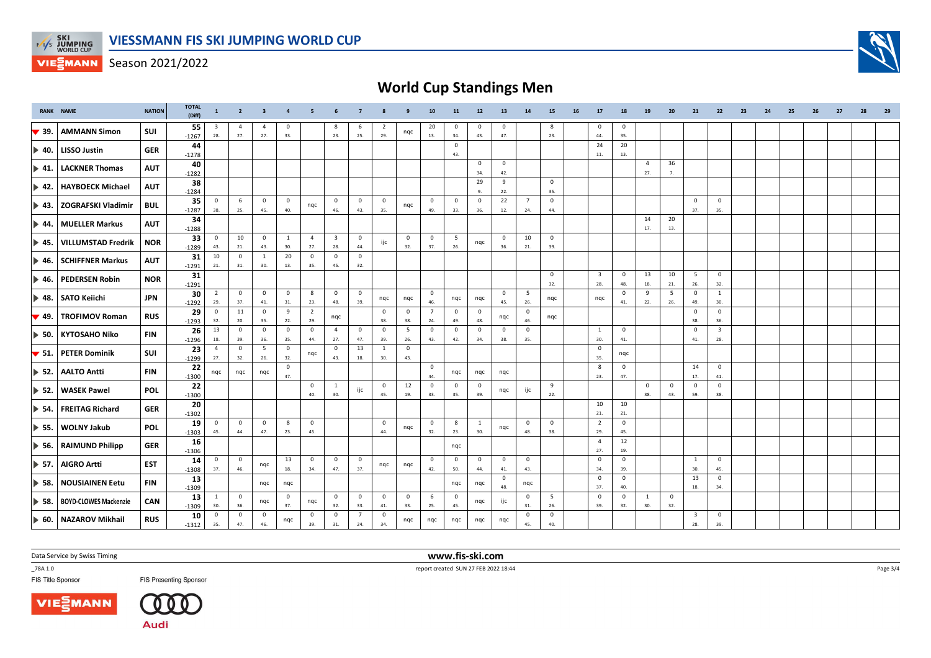

# **World Cup Standings Men**

| <b>RANK NAME</b>          |                              | <b>NATION</b> | <b>TOTAL</b><br>(Diff) | $\mathbf{1}$          | $\overline{2}$        | $\overline{\mathbf{3}}$ | $\overline{4}$      | -5                    | 6                              | $\overline{7}$        |                       | 9                     | 10                    | 11                  | $12\,$              | 13                  | 14                    | 15                  | 16 | 17                             | 18                  | 19                    | 20                 | 21                 | 22                             | 23 | 24 | 25 | 26 | 27 | 28 | 29 |
|---------------------------|------------------------------|---------------|------------------------|-----------------------|-----------------------|-------------------------|---------------------|-----------------------|--------------------------------|-----------------------|-----------------------|-----------------------|-----------------------|---------------------|---------------------|---------------------|-----------------------|---------------------|----|--------------------------------|---------------------|-----------------------|--------------------|--------------------|--------------------------------|----|----|----|----|----|----|----|
| $\blacktriangledown$ 39.  | <b>AMMANN Simon</b>          | SUI           | 55<br>$-1267$          | 3<br>28.              | $\overline{4}$<br>27. | $\overline{a}$<br>27.   | 0<br>33.            |                       | 8<br>23.                       | -6<br>25.             | 2<br>29.              | nqc                   | 20<br>13.             | $\mathbf 0$<br>34.  | $^{\circ}$<br>43.   | $\mathbf 0$<br>47.  |                       | 8<br>23.            |    | $\mathbf 0$<br>44.             | 0<br>35.            |                       |                    |                    |                                |    |    |    |    |    |    |    |
| $\blacktriangleright$ 40. | <b>LISSO Justin</b>          | <b>GER</b>    | 44<br>$-1278$          |                       |                       |                         |                     |                       |                                |                       |                       |                       |                       | $\mathbf 0$<br>43.  |                     |                     |                       |                     |    | 24<br>11.                      | 20<br>13.           |                       |                    |                    |                                |    |    |    |    |    |    |    |
| $\triangleright$ 41.      | <b>LACKNER Thomas</b>        | <b>AUT</b>    | 40<br>$-1282$          |                       |                       |                         |                     |                       |                                |                       |                       |                       |                       |                     | $^{\circ}$<br>34.   | $\mathbf 0$<br>42.  |                       |                     |    |                                |                     | $\overline{4}$<br>27. | 36<br>7.           |                    |                                |    |    |    |    |    |    |    |
| $\blacktriangleright$ 42. | <b>HAYBOECK Michael</b>      | <b>AUT</b>    | 38<br>$-1284$          |                       |                       |                         |                     |                       |                                |                       |                       |                       |                       |                     | 29<br>9.            | 9<br>22.            |                       | $\mathbf 0$<br>35.  |    |                                |                     |                       |                    |                    |                                |    |    |    |    |    |    |    |
| $\blacktriangleright$ 43. | <b>ZOGRAFSKI Vladimir</b>    | <b>BUL</b>    | 35<br>$-1287$          | $^{\circ}$<br>38.     | 6<br>25.              | $^{\circ}$<br>45.       | $\mathbf 0$<br>40.  | nqc                   | $\overline{0}$<br>46.          | $\mathbf 0$<br>43.    | $\mathbf 0$<br>35.    | nqc                   | $\overline{0}$<br>49. | $\mathbf 0$<br>33.  | $\Omega$<br>36.     | 22<br>12.           | $\overline{7}$<br>24. | $\mathsf 0$<br>44.  |    |                                |                     |                       |                    | $\mathbf 0$<br>37. | $\mathbf 0$<br>35.             |    |    |    |    |    |    |    |
| $\triangleright$ 44.      | <b>MUELLER Markus</b>        | <b>AUT</b>    | 34<br>$-1288$          |                       |                       |                         |                     |                       |                                |                       |                       |                       |                       |                     |                     |                     |                       |                     |    |                                |                     | 14<br>17.             | 20<br>13.          |                    |                                |    |    |    |    |    |    |    |
| $\blacktriangleright$ 45. | <b>VILLUMSTAD Fredrik</b>    | <b>NOR</b>    | 33<br>$-1289$          | $^{\circ}$<br>43.     | 10<br>21.             | $\mathbf 0$<br>43.      | $\mathbf{1}$<br>30. | $\overline{4}$<br>27. | $\overline{\mathbf{3}}$<br>28. | $\mathbf{0}$<br>44.   | ijc                   | $\overline{0}$<br>32. | $\mathbf 0$<br>37.    | 5<br>26.            | nqc                 | $\mathbf 0$<br>36.  | 10<br>21.             | $\mathbf 0$<br>39.  |    |                                |                     |                       |                    |                    |                                |    |    |    |    |    |    |    |
| $\blacktriangleright$ 46. | <b>SCHIFFNER Markus</b>      | <b>AUT</b>    | 31<br>$-1291$          | 10<br>21.             | $\mathbf 0$<br>31.    | $\mathbf{1}$<br>30.     | 20<br>13.           | $\mathbf{0}$<br>35.   | $\mathbf{0}$<br>45.            | $\mathbf{0}$<br>32.   |                       |                       |                       |                     |                     |                     |                       |                     |    |                                |                     |                       |                    |                    |                                |    |    |    |    |    |    |    |
| $\blacktriangleright$ 46. | <b>PEDERSEN Robin</b>        | <b>NOR</b>    | 31<br>$-1291$          |                       |                       |                         |                     |                       |                                |                       |                       |                       |                       |                     |                     |                     |                       | $\mathbf 0$<br>32.  |    | $\overline{\mathbf{3}}$<br>28. | $\mathbf 0$<br>48.  | 13<br>18.             | 10<br>21.          | 5<br>26.           | $\mathbf 0$<br>32.             |    |    |    |    |    |    |    |
| $\blacktriangleright$ 48. | <b>SATO Keiichi</b>          | <b>JPN</b>    | 30<br>$-1292$          | $\overline{2}$<br>29. | $\mathbf 0$<br>37.    | $\mathbf 0$<br>41.      | $\mathbf{0}$<br>31. | 8<br>23.              | $\overline{0}$<br>48.          | $\overline{0}$<br>39. | nqc                   | nqc                   | $\overline{0}$<br>46. | nqc                 | nqc                 | $\mathbf{0}$<br>45. | 5<br>26.              | nqc                 |    | ngc                            | $\mathbf 0$<br>41.  | 9<br>22.              | 5<br>26.           | 0<br>49.           | 1<br>30.                       |    |    |    |    |    |    |    |
| $\blacktriangledown$ 49.  | <b>TROFIMOV Roman</b>        | <b>RUS</b>    | 29<br>$-1293$          | $\mathbf 0$<br>32.    | 11<br>20.             | $\circ$<br>35.          | 9<br>22.            | $\overline{2}$<br>29. | nqc                            |                       | $\mathbf 0$<br>38.    | $\overline{0}$<br>38. | $\overline{7}$<br>24. | $\mathbf{0}$<br>49. | $\mathbf 0$<br>48.  | nqc                 | $\mathbf 0$<br>46.    | nqc                 |    |                                |                     |                       |                    | $\mathsf 0$<br>38. | $\mathbf 0$<br>36.             |    |    |    |    |    |    |    |
| $\blacktriangleright$ 50. | <b>KYTOSAHO Niko</b>         | <b>FIN</b>    | 26<br>$-1296$          | 13<br>18.             | $\mathbf{0}$<br>39.   | $\mathbf 0$<br>36.      | $\mathsf 0$<br>35.  | $\mathbf 0$<br>44.    | $\overline{4}$<br>27.          | $\mathbf 0$<br>47.    | $\mathbf 0$<br>39.    | 5<br>26.              | $\mathbf 0$<br>43.    | 0<br>42.            | $\mathbf 0$<br>34.  | $\mathbf 0$<br>38.  | $\overline{0}$<br>35. |                     |    | $\mathbf{1}$<br>30.            | $\mathbf 0$<br>41.  |                       |                    | $\mathbf 0$<br>41. | $\overline{\mathbf{3}}$<br>28. |    |    |    |    |    |    |    |
| $\blacktriangledown$ 51.  | <b>PETER Dominik</b>         | SUI           | 23<br>$-1299$          | $\overline{4}$<br>27. | $\mathbf 0$<br>32.    | 5<br>26.                | $\circ$<br>32.      | nqc                   | $\mathbf{0}$<br>43.            | 13<br>18.             | $\overline{1}$<br>30. | $\mathbf 0$<br>43.    |                       |                     |                     |                     |                       |                     |    | $\mathbf{0}$<br>35.            | nqc                 |                       |                    |                    |                                |    |    |    |    |    |    |    |
| $\triangleright$ 52.      | <b>AALTO Antti</b>           | <b>FIN</b>    | 22<br>$-1300$          | ngc                   | ngc                   | nqc                     | $\mathbf 0$<br>47.  |                       |                                |                       |                       |                       | $\overline{0}$<br>44. | ngc                 | ngc                 | ngc                 |                       |                     |    | 8<br>23.                       | $\mathbf 0$<br>47.  |                       |                    | 14<br>17.          | $\mathbf 0$<br>41.             |    |    |    |    |    |    |    |
| $\triangleright$ 52.      | <b>WASEK Pawel</b>           | <b>POL</b>    | 22<br>$-1300$          |                       |                       |                         |                     | $\overline{0}$<br>40. | $\mathbf{1}$<br>30.            | ijc                   | $\mathbf 0$<br>45.    | 12<br>19.             | $\overline{0}$<br>33. | $\mathbf 0$<br>35.  | $^{\circ}$<br>39.   | nqc                 | ijc                   | 9<br>22.            |    |                                |                     | 0<br>38.              | $\mathbf 0$<br>43. | $\mathbf 0$<br>59. | $\mathbf 0$<br>38.             |    |    |    |    |    |    |    |
| $\blacktriangleright$ 54. | <b>FREITAG Richard</b>       | <b>GER</b>    | 20<br>$-1302$          |                       |                       |                         |                     |                       |                                |                       |                       |                       |                       |                     |                     |                     |                       |                     |    | 10<br>21.                      | 10<br>21.           |                       |                    |                    |                                |    |    |    |    |    |    |    |
| $\blacktriangleright$ 55. | <b>WOLNY Jakub</b>           | <b>POL</b>    | 19<br>$-1303$          | $\mathbf 0$<br>45.    | $\mathbf 0$<br>44.    | $\mathbf 0$<br>47.      | 8<br>23.            | $\overline{0}$<br>45. |                                |                       | $\overline{0}$<br>44. | nqc                   | $\overline{0}$<br>32. | 8<br>23.            | $\mathbf{1}$<br>30. | nqc                 | $\overline{0}$<br>48. | $\mathbf{0}$<br>38. |    | $\overline{2}$<br>29.          | $\mathbf{0}$<br>45. |                       |                    |                    |                                |    |    |    |    |    |    |    |
| $\triangleright$ 56.      | <b>RAIMUND Philipp</b>       | <b>GER</b>    | 16<br>$-1306$          |                       |                       |                         |                     |                       |                                |                       |                       |                       |                       | nqc                 |                     |                     |                       |                     |    | $\overline{4}$<br>27.          | 12<br>19.           |                       |                    |                    |                                |    |    |    |    |    |    |    |
| $\triangleright$ 57.      | <b>AIGRO Artti</b>           | <b>EST</b>    | 14<br>$-1308$          | $\mathbf 0$<br>37.    | $\mathbf 0$<br>46.    | nqc                     | 13<br>18.           | $\mathbf{0}$<br>34.   | $\overline{0}$<br>47.          | $\mathbf 0$<br>37.    | nqc                   | nqc                   | $\overline{0}$<br>42. | $\mathbf 0$<br>50.  | $\mathbf 0$<br>44.  | $\mathbf 0$<br>41.  | $\overline{0}$<br>43. |                     |    | $\mathbf 0$<br>34.             | $\mathbf 0$<br>39.  |                       |                    | 1<br>30.           | $\mathbf 0$<br>45.             |    |    |    |    |    |    |    |
| $\blacktriangleright$ 58. | <b>NOUSIAINEN Eetu</b>       | <b>FIN</b>    | 13<br>$-1309$          |                       |                       | nqc                     | nqc                 |                       |                                |                       |                       |                       |                       | nqc                 | nqc                 | $\mathbf 0$<br>48.  | nqc                   |                     |    | $\mathbf 0$<br>37.             | $\mathbf{0}$<br>40. |                       |                    | 13<br>18.          | $\overline{\mathbf{0}}$<br>34. |    |    |    |    |    |    |    |
| $\triangleright$ 58.      | <b>BOYD-CLOWES Mackenzie</b> | CAN           | 13<br>$-1309$          | $\mathbf{1}$<br>30.   | $\mathbf 0$<br>36.    | nqc                     | $\mathbf 0$<br>37.  | nqc                   | $\overline{0}$<br>32.          | $\mathbf 0$<br>33.    | $\overline{0}$<br>41. | $\overline{0}$<br>33. | 6<br>25.              | $\mathbf 0$<br>45.  | nqc                 | ijc                 | $\mathbf 0$<br>31.    | 5<br>26.            |    | $\mathbf 0$<br>39.             | $\mathbf 0$<br>32.  | 1<br>30.              | $\mathbf 0$<br>32. |                    |                                |    |    |    |    |    |    |    |
|                           | 60.   NAZAROV Mikhail        | <b>RUS</b>    | 10<br>$-1312$          | $\mathbf 0$<br>35.    | $\mathbf 0$<br>47.    | $\mathbf 0$<br>46.      | nqc                 | $\mathbf 0$<br>39.    | $\mathbf 0$<br>31.             | $\overline{7}$<br>24. | $\mathbf 0$<br>34.    | ngc                   | nqc                   | nqc                 | nqc                 | ngc                 | 0<br>45.              | $\mathbf 0$<br>40.  |    |                                |                     |                       |                    | 3<br>28.           | $\mathbf 0$<br>39.             |    |    |    |    |    |    |    |

Data Service by Swiss Timing

\_78A 1.0

FIS Title Sponsor





**FIS Presenting Sponsor** 

 **www.fis-ski.com**report created SUN 27 FEB 2022 18:44

Page 3/4